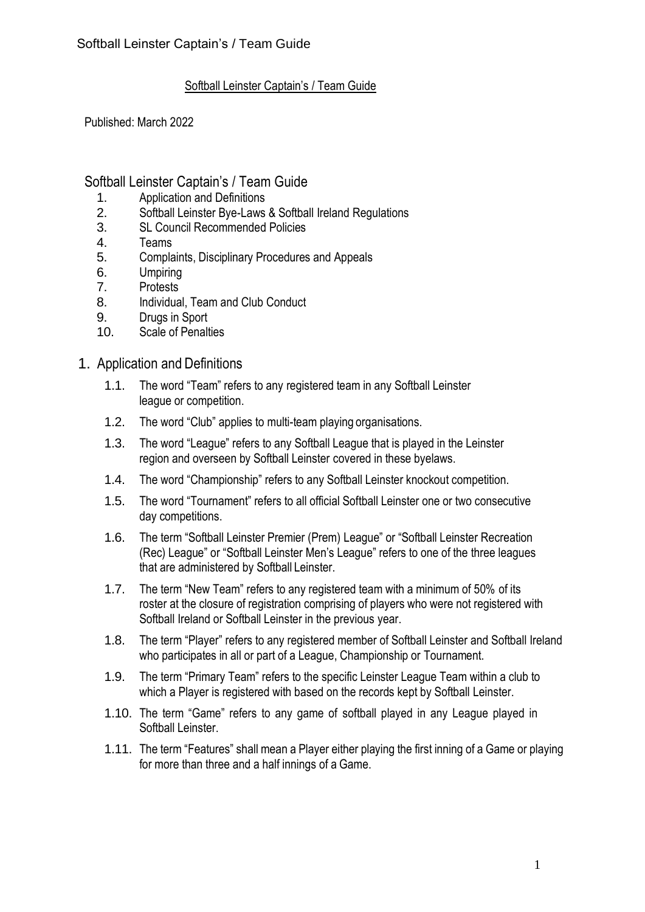#### Softball Leinster Captain's / Team Guide

Published: March 2022

### Softball Leinster Captain's / Team Guide

- 
- 1. Application and Definitions<br>2. Softball Leinster Bve-Laws Softball Leinster Bye-Laws & Softball Ireland Regulations
- 3. SL Council Recommended Policies
- 4. Teams
- 5. Complaints, Disciplinary Procedures and Appeals
- 6. Umpiring
- 7. Protests
- 8. Individual, Team and Club Conduct
- 9. Drugs in Sport
- 10. Scale of Penalties

#### 1. Application and Definitions

- 1.1. The word "Team" refers to any registered team in any Softball Leinster league or competition.
- 1.2. The word "Club" applies to multi-team playing organisations.
- 1.3. The word "League" refers to any Softball League that is played in the Leinster region and overseen by Softball Leinster covered in these byelaws.
- 1.4. The word "Championship" refers to any Softball Leinster knockout competition.
- 1.5. The word "Tournament" refers to all official Softball Leinster one or two consecutive day competitions.
- 1.6. The term "Softball Leinster Premier (Prem) League" or "Softball Leinster Recreation (Rec) League" or "Softball Leinster Men's League" refers to one of the three leagues that are administered by Softball Leinster.
- 1.7. The term "New Team" refers to any registered team with a minimum of 50% of its roster at the closure of registration comprising of players who were not registered with Softball Ireland or Softball Leinster in the previous year.
- 1.8. The term "Player" refers to any registered member of Softball Leinster and Softball Ireland who participates in all or part of a League, Championship or Tournament.
- 1.9. The term "Primary Team" refers to the specific Leinster League Team within a club to which a Player is registered with based on the records kept by Softball Leinster.
- 1.10. The term "Game" refers to any game of softball played in any League played in Softball Leinster.
- 1.11. The term "Features" shall mean a Player either playing the first inning of a Game or playing for more than three and a half innings of a Game.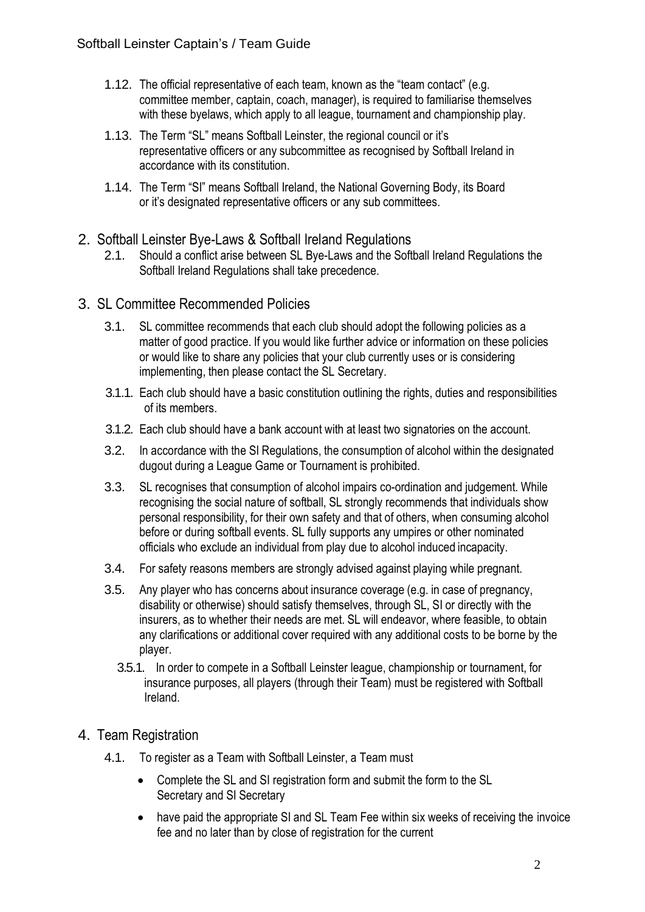- 1.12. The official representative of each team, known as the "team contact" (e.g. committee member, captain, coach, manager), is required to familiarise themselves with these byelaws, which apply to all league, tournament and championship play.
- 1.13. The Term "SL" means Softball Leinster, the regional council or it's representative officers or any subcommittee as recognised by Softball Ireland in accordance with its constitution.
- 1.14. The Term "SI" means Softball Ireland, the National Governing Body, its Board or it's designated representative officers or any sub committees.
- 2. Softball Leinster Bye-Laws & Softball Ireland Regulations
	- 2.1. Should a conflict arise between SL Bye-Laws and the Softball Ireland Regulations the Softball Ireland Regulations shall take precedence.
- 3. SL Committee Recommended Policies
	- 3.1. SL committee recommends that each club should adopt the following policies as a matter of good practice. If you would like further advice or information on these policies or would like to share any policies that your club currently uses or is considering implementing, then please contact the SL Secretary.
	- 3.1.1. Each club should have a basic constitution outlining the rights, duties and responsibilities of its members.
	- 3.1.2. Each club should have a bank account with at least two signatories on the account.
	- 3.2. In accordance with the SI Regulations, the consumption of alcohol within the designated dugout during a League Game or Tournament is prohibited.
	- 3.3. SL recognises that consumption of alcohol impairs co-ordination and judgement. While recognising the social nature of softball, SL strongly recommends that individuals show personal responsibility, for their own safety and that of others, when consuming alcohol before or during softball events. SL fully supports any umpires or other nominated officials who exclude an individual from play due to alcohol induced incapacity.
	- 3.4. For safety reasons members are strongly advised against playing while pregnant.
	- 3.5. Any player who has concerns about insurance coverage (e.g. in case of pregnancy, disability or otherwise) should satisfy themselves, through SL, SI or directly with the insurers, as to whether their needs are met. SL will endeavor, where feasible, to obtain any clarifications or additional cover required with any additional costs to be borne by the player.
		- 3.5.1. In order to compete in a Softball Leinster league, championship or tournament, for insurance purposes, all players (through their Team) must be registered with Softball Ireland.
- 4. Team Registration
	- 4.1. To register as a Team with Softball Leinster, a Team must
		- Complete the SL and SI registration form and submit the form to the SL Secretary and SI Secretary
		- have paid the appropriate SI and SL Team Fee within six weeks of receiving the invoice fee and no later than by close of registration for the current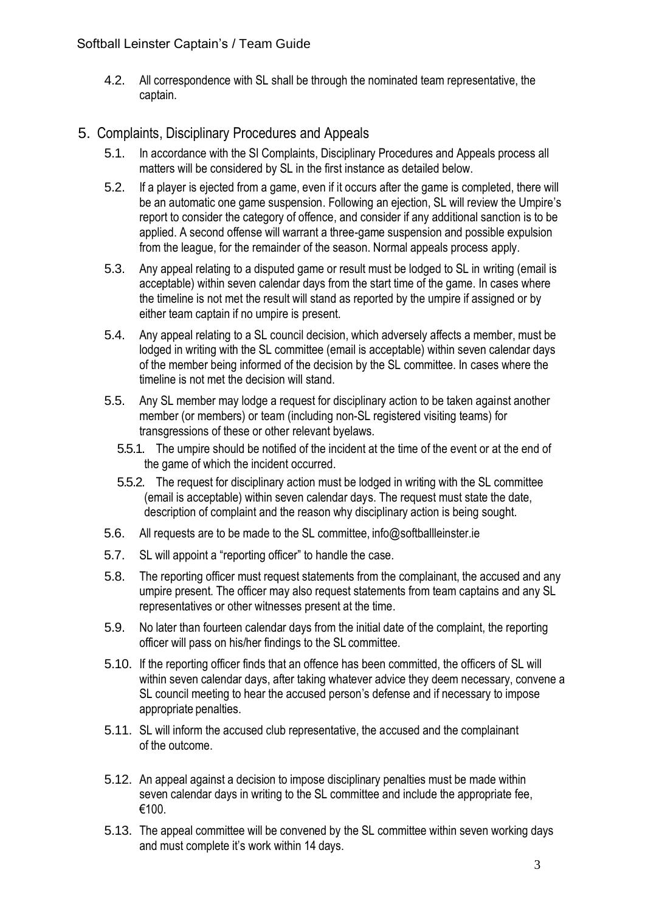4.2. All correspondence with SL shall be through the nominated team representative, the captain.

## 5. Complaints, Disciplinary Procedures and Appeals

- 5.1. In accordance with the SI Complaints, Disciplinary Procedures and Appeals process all matters will be considered by SL in the first instance as detailed below.
- 5.2. If a player is ejected from a game, even if it occurs after the game is completed, there will be an automatic one game suspension. Following an ejection, SL will review the Umpire's report to consider the category of offence, and consider if any additional sanction is to be applied. A second offense will warrant a three-game suspension and possible expulsion from the league, for the remainder of the season. Normal appeals process apply.
- 5.3. Any appeal relating to a disputed game or result must be lodged to SL in writing (email is acceptable) within seven calendar days from the start time of the game. In cases where the timeline is not met the result will stand as reported by the umpire if assigned or by either team captain if no umpire is present.
- 5.4. Any appeal relating to a SL council decision, which adversely affects a member, must be lodged in writing with the SL committee (email is acceptable) within seven calendar days of the member being informed of the decision by the SL committee. In cases where the timeline is not met the decision will stand.
- 5.5. Any SL member may lodge a request for disciplinary action to be taken against another member (or members) or team (including non-SL registered visiting teams) for transgressions of these or other relevant byelaws.
	- 5.5.1. The umpire should be notified of the incident at the time of the event or at the end of the game of which the incident occurred.
	- 5.5.2. The request for disciplinary action must be lodged in writing with the SL committee (email is acceptable) within seven calendar days. The request must state the date, description of complaint and the reason why disciplinary action is being sought.
- 5.6. All requests are to be made to the SL committee, [info@softballleinster.ie](mailto:info@softballleinster.ie)
- 5.7. SL will appoint a "reporting officer" to handle the case.
- 5.8. The reporting officer must request statements from the complainant, the accused and any umpire present. The officer may also request statements from team captains and any SL representatives or other witnesses present at the time.
- 5.9. No later than fourteen calendar days from the initial date of the complaint, the reporting officer will pass on his/her findings to the SL committee.
- 5.10. If the reporting officer finds that an offence has been committed, the officers of SL will within seven calendar days, after taking whatever advice they deem necessary, convene a SL council meeting to hear the accused person's defense and if necessary to impose appropriate penalties.
- 5.11. SL will inform the accused club representative, the accused and the complainant of the outcome.
- 5.12. An appeal against a decision to impose disciplinary penalties must be made within seven calendar days in writing to the SL committee and include the appropriate fee, €100.
- 5.13. The appeal committee will be convened by the SL committee within seven working days and must complete it's work within 14 days.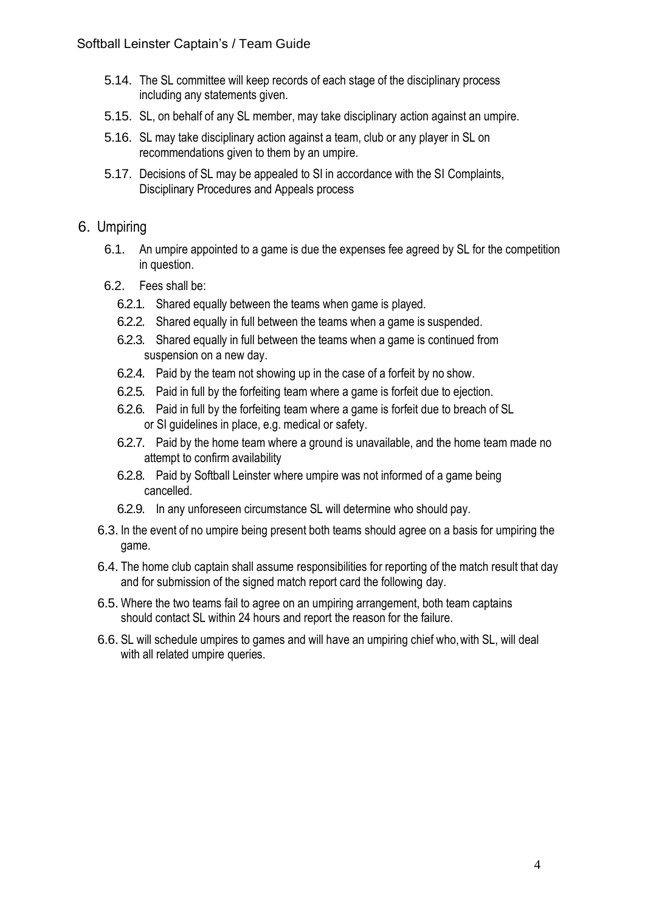- 5.14. The SL committee will keep records of each stage of the disciplinary process including any statements given.
- 5.15. SL, on behalf of any SL member, may take disciplinary action against an umpire.
- 5.16. SL may take disciplinary action against a team, club or any player in SL on recommendations given to them by an umpire.
- 5.17. Decisions of SL may be appealed to SI in accordance with the SI Complaints, Disciplinary Procedures and Appeals process

### 6. Umpiring

- 6.1. An umpire appointed to a game is due the expenses fee agreed by SL for the competition in question.
- 6.2. Fees shall be:
	- 6.2.1. Shared equally between the teams when game is played.
	- 6.2.2. Shared equally in full between the teams when a game is suspended.
	- 6.2.3. Shared equally in full between the teams when a game is continued from suspension on a new day.
	- 6.2.4. Paid by the team not showing up in the case of a forfeit by no show.
	- 6.2.5. Paid in full by the forfeiting team where a game is forfeit due to ejection.
	- 6.2.6. Paid in full by the forfeiting team where a game is forfeit due to breach of SL or SI guidelines in place, e.g. medical or safety.
	- 6.2.7. Paid by the home team where a ground is unavailable, and the home team made no attempt to confirm availability
	- 6.2.8. Paid by Softball Leinster where umpire was not informed of a game being cancelled.
	- 6.2.9. In any unforeseen circumstance SL will determine who should pay.
- 6.3. In the event of no umpire being present both teams should agree on a basis for umpiring the game.
- 6.4. The home club captain shall assume responsibilities for reporting of the match result that day and for submission of the signed match report card the following day.
- 6.5. Where the two teams fail to agree on an umpiring arrangement, both team captains should contact SL within 24 hours and report the reason for the failure.
- 6.6. SL will schedule umpires to games and will have an umpiring chief who, with SL, will deal with all related umpire queries.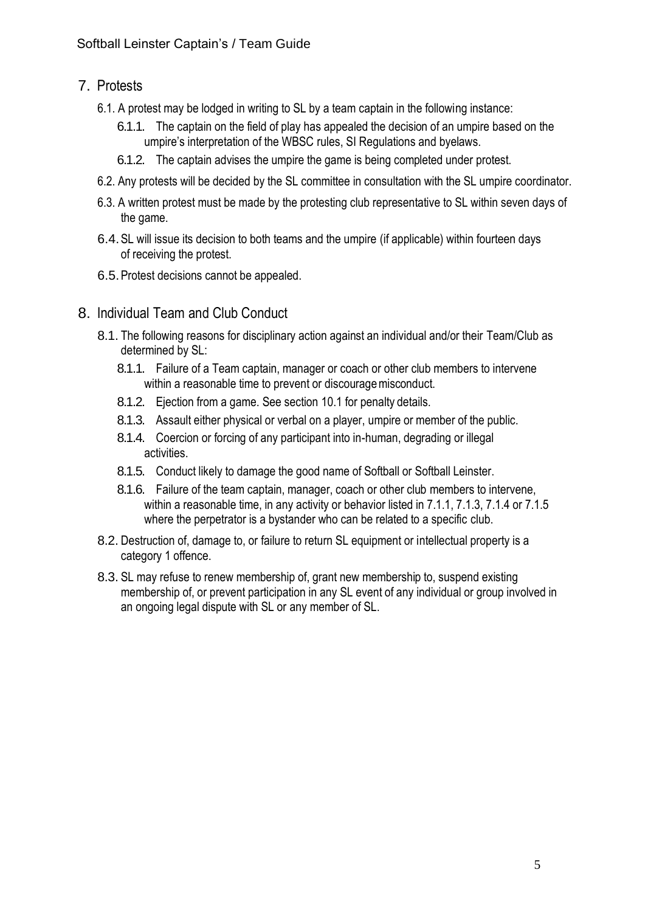## 7. Protests

- 6.1. A protest may be lodged in writing to SL by a team captain in the following instance:
	- 6.1.1. The captain on the field of play has appealed the decision of an umpire based on the umpire's interpretation of the WBSC rules, SI Regulations and byelaws.
	- 6.1.2. The captain advises the umpire the game is being completed under protest.
- 6.2. Any protests will be decided by the SL committee in consultation with the SL umpire coordinator.
- 6.3. A written protest must be made by the protesting club representative to SL within seven days of the game.
- 6.4.SL will issue its decision to both teams and the umpire (if applicable) within fourteen days of receiving the protest.
- 6.5.Protest decisions cannot be appealed.
- 8. Individual Team and Club Conduct
	- 8.1. The following reasons for disciplinary action against an individual and/or their Team/Club as determined by SL:
		- 8.1.1. Failure of a Team captain, manager or coach or other club members to intervene within a reasonable time to prevent or discourage misconduct.
		- 8.1.2. Ejection from a game. See section 10.1 for penalty details.
		- 8.1.3. Assault either physical or verbal on a player, umpire or member of the public.
		- 8.1.4. Coercion or forcing of any participant into in-human, degrading or illegal activities.
		- 8.1.5. Conduct likely to damage the good name of Softball or Softball Leinster.
		- 8.1.6. Failure of the team captain, manager, coach or other club members to intervene, within a reasonable time, in any activity or behavior listed in 7.1.1, 7.1.3, 7.1.4 or 7.1.5 where the perpetrator is a bystander who can be related to a specific club.
	- 8.2. Destruction of, damage to, or failure to return SL equipment or intellectual property is a category 1 offence.
	- 8.3. SL may refuse to renew membership of, grant new membership to, suspend existing membership of, or prevent participation in any SL event of any individual or group involved in an ongoing legal dispute with SL or any member of SL.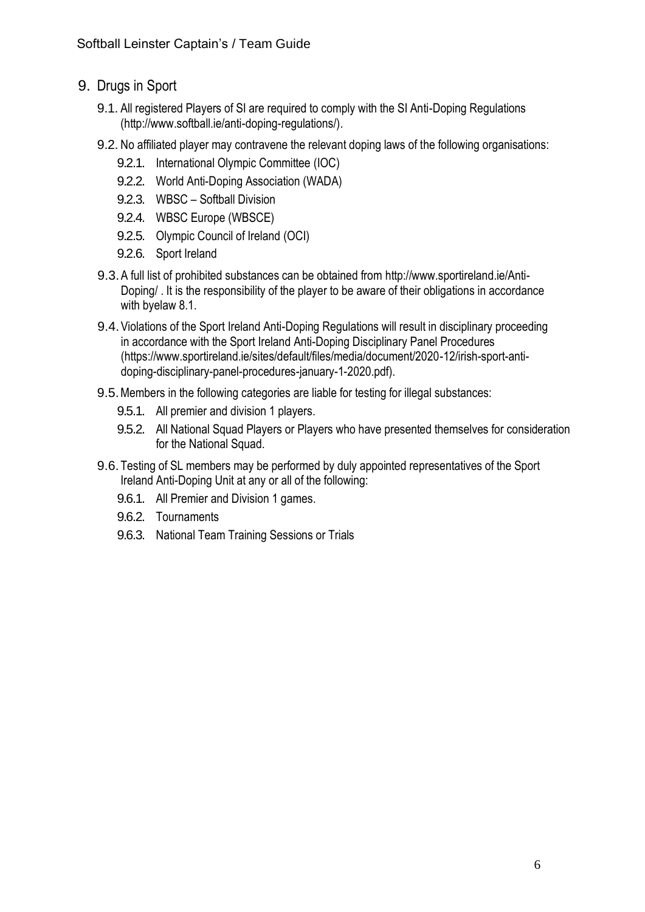- 9. Drugs in Sport
	- 9.1. All registered Players of SI are required to comply with the SI Anti-Doping Regulations (http://www.softball.ie/anti-doping-regulations/).
	- 9.2. No affiliated player may contravene the relevant doping laws of the following organisations:
		- 9.2.1. International Olympic Committee (IOC)
		- 9.2.2. World Anti-Doping Association (WADA)
		- 9.2.3. WBSC Softball Division
		- 9.2.4. WBSC Europe (WBSCE)
		- 9.2.5. Olympic Council of Ireland (OCI)
		- 9.2.6. Sport Ireland
	- 9.3.A full list of prohibited substances can be obtained from [http://www.sportireland.ie/Anti-](http://www.sportireland.ie/Anti-Doping/)[Doping/ .](http://www.sportireland.ie/Anti-Doping/) It is the responsibility of the player to be aware of their obligations in accordance with byelaw 8.1.
	- 9.4.Violations of the Sport Ireland Anti-Doping Regulations will result in disciplinary proceeding in accordance with the Sport Ireland Anti-Doping Disciplinary Panel Procedures (https://www.sportireland.ie/sites/default/files/media/document/2020-12/irish-sport-antidoping-disciplinary-panel-procedures-january-1-2020.pdf).
	- 9.5.Members in the following categories are liable for testing for illegal substances:
		- 9.5.1. All premier and division 1 players.
		- 9.5.2. All National Squad Players or Players who have presented themselves for consideration for the National Squad.
	- 9.6. Testing of SL members may be performed by duly appointed representatives of the Sport Ireland Anti-Doping Unit at any or all of the following:
		- 9.6.1. All Premier and Division 1 games.
		- 9.6.2. Tournaments
		- 9.6.3. National Team Training Sessions or Trials